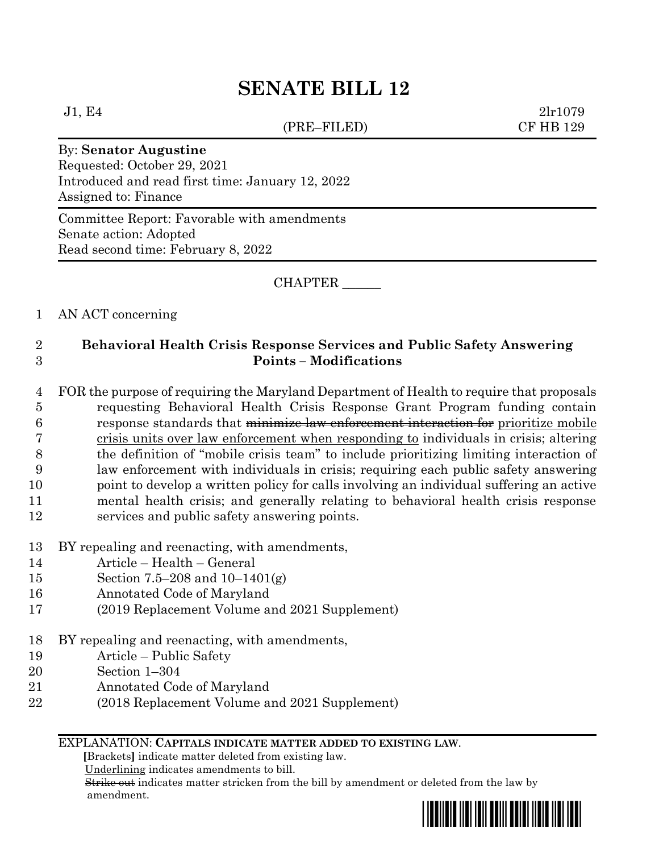(PRE–FILED) CF HB 129

 $J1, E4$  2lr1079

### By: **Senator Augustine**

Requested: October 29, 2021 Introduced and read first time: January 12, 2022 Assigned to: Finance

Committee Report: Favorable with amendments Senate action: Adopted Read second time: February 8, 2022

CHAPTER \_\_\_\_\_\_

# 1 AN ACT concerning

# 2 **Behavioral Health Crisis Response Services and Public Safety Answering**  3 **Points – Modifications**

 FOR the purpose of requiring the Maryland Department of Health to require that proposals requesting Behavioral Health Crisis Response Grant Program funding contain response standards that minimize law enforcement interaction for prioritize mobile crisis units over law enforcement when responding to individuals in crisis; altering the definition of "mobile crisis team" to include prioritizing limiting interaction of law enforcement with individuals in crisis; requiring each public safety answering point to develop a written policy for calls involving an individual suffering an active mental health crisis; and generally relating to behavioral health crisis response services and public safety answering points.

- 13 BY repealing and reenacting, with amendments,
- 14 Article Health General
- 15 Section 7.5–208 and 10–1401(g)
- 16 Annotated Code of Maryland
- 17 (2019 Replacement Volume and 2021 Supplement)
- 18 BY repealing and reenacting, with amendments,
- 19 Article Public Safety
- 20 Section 1–304
- 21 Annotated Code of Maryland
- 22 (2018 Replacement Volume and 2021 Supplement)

#### EXPLANATION: **CAPITALS INDICATE MATTER ADDED TO EXISTING LAW**.

 **[**Brackets**]** indicate matter deleted from existing law.

Underlining indicates amendments to bill.

 Strike out indicates matter stricken from the bill by amendment or deleted from the law by amendment.

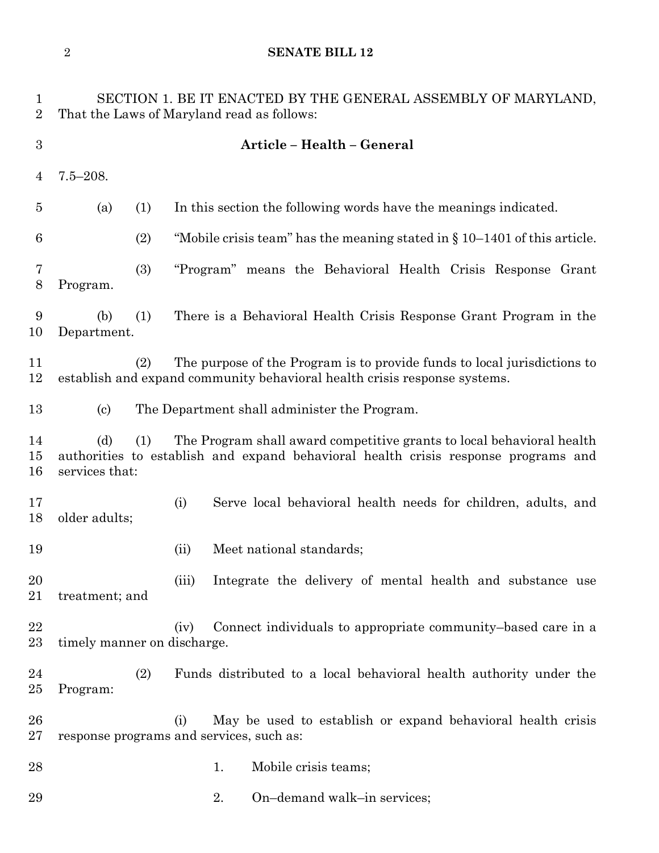| 1<br>$\overline{2}$ | SECTION 1. BE IT ENACTED BY THE GENERAL ASSEMBLY OF MARYLAND,<br>That the Laws of Maryland read as follows: |                                                                                                                                                             |  |  |  |
|---------------------|-------------------------------------------------------------------------------------------------------------|-------------------------------------------------------------------------------------------------------------------------------------------------------------|--|--|--|
| $\boldsymbol{3}$    | Article - Health - General                                                                                  |                                                                                                                                                             |  |  |  |
| 4                   | $7.5 - 208.$                                                                                                |                                                                                                                                                             |  |  |  |
| $\overline{5}$      | (a)<br>(1)                                                                                                  | In this section the following words have the meanings indicated.                                                                                            |  |  |  |
| 6                   | (2)                                                                                                         | "Mobile crisis team" has the meaning stated in $\S 10-1401$ of this article.                                                                                |  |  |  |
| 7<br>$8\,$          | (3)<br>Program.                                                                                             | "Program" means the Behavioral Health Crisis Response Grant                                                                                                 |  |  |  |
| 9<br>10             | (b)<br>(1)<br>Department.                                                                                   | There is a Behavioral Health Crisis Response Grant Program in the                                                                                           |  |  |  |
| 11<br>12            | (2)                                                                                                         | The purpose of the Program is to provide funds to local jurisdictions to<br>establish and expand community behavioral health crisis response systems.       |  |  |  |
| 13                  | $\left( \mathrm{c}\right)$                                                                                  | The Department shall administer the Program.                                                                                                                |  |  |  |
| 14<br>15<br>16      | (d)<br>(1)<br>services that:                                                                                | The Program shall award competitive grants to local behavioral health<br>authorities to establish and expand behavioral health crisis response programs and |  |  |  |
| 17<br>18            | older adults;                                                                                               | Serve local behavioral health needs for children, adults, and<br>(i)                                                                                        |  |  |  |
| 19                  |                                                                                                             | Meet national standards;<br>(ii)                                                                                                                            |  |  |  |
| 20<br>21            | treatment; and                                                                                              | Integrate the delivery of mental health and substance use<br>(iii)                                                                                          |  |  |  |
| 22<br>23            | timely manner on discharge.                                                                                 | Connect individuals to appropriate community-based care in a<br>(iv)                                                                                        |  |  |  |
| 24<br>25            | (2)<br>Program:                                                                                             | Funds distributed to a local behavioral health authority under the                                                                                          |  |  |  |
| 26<br>27            |                                                                                                             | May be used to establish or expand behavioral health crisis<br>(i)<br>response programs and services, such as:                                              |  |  |  |
| 28                  |                                                                                                             | Mobile crisis teams;<br>1.                                                                                                                                  |  |  |  |
| 29                  |                                                                                                             | On-demand walk-in services;<br>2.                                                                                                                           |  |  |  |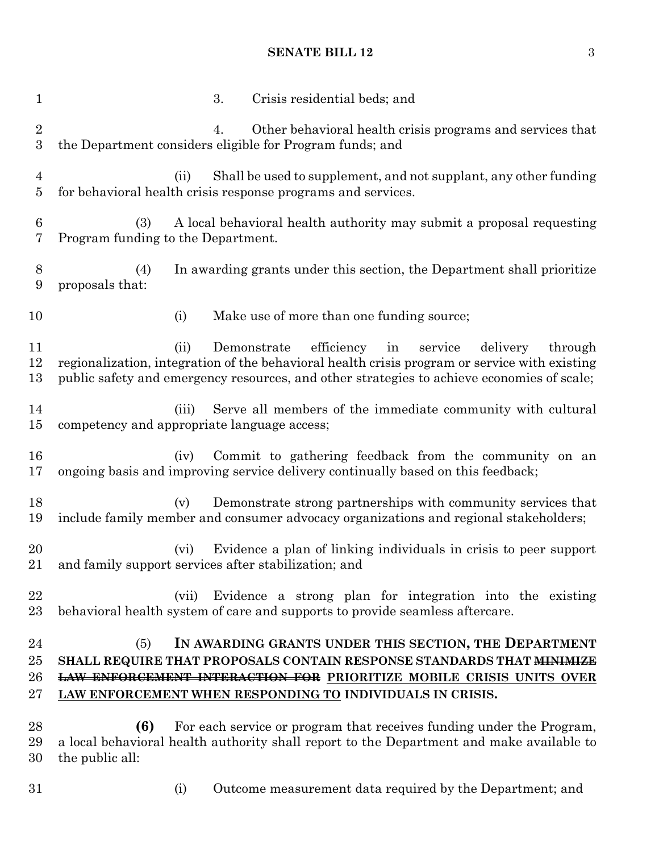# **SENATE BILL 12** 3

| $\mathbf{1}$                 |                                                              | 3. | Crisis residential beds; and                                                                                                                                                                                                                                              |
|------------------------------|--------------------------------------------------------------|----|---------------------------------------------------------------------------------------------------------------------------------------------------------------------------------------------------------------------------------------------------------------------------|
| $\sqrt{2}$<br>3              |                                                              | 4. | Other behavioral health crisis programs and services that<br>the Department considers eligible for Program funds; and                                                                                                                                                     |
| 4<br>$\overline{5}$          | (ii)                                                         |    | Shall be used to supplement, and not supplant, any other funding<br>for behavioral health crisis response programs and services.                                                                                                                                          |
| 6<br>7                       | (3)<br>Program funding to the Department.                    |    | A local behavioral health authority may submit a proposal requesting                                                                                                                                                                                                      |
| 8<br>$\boldsymbol{9}$        | (4)<br>proposals that:                                       |    | In awarding grants under this section, the Department shall prioritize                                                                                                                                                                                                    |
| 10                           | (i)                                                          |    | Make use of more than one funding source;                                                                                                                                                                                                                                 |
| 11<br>12<br>13               | (ii)                                                         |    | Demonstrate efficiency<br>in<br>service<br>delivery<br>through<br>regionalization, integration of the behavioral health crisis program or service with existing<br>public safety and emergency resources, and other strategies to achieve economies of scale;             |
| 14<br>15                     | (iii)<br>competency and appropriate language access;         |    | Serve all members of the immediate community with cultural                                                                                                                                                                                                                |
| 16<br>17                     | (iv)                                                         |    | Commit to gathering feedback from the community on an<br>ongoing basis and improving service delivery continually based on this feedback;                                                                                                                                 |
| 18<br>19                     | (v)                                                          |    | Demonstrate strong partnerships with community services that<br>include family member and consumer advocacy organizations and regional stakeholders;                                                                                                                      |
| 20<br>21                     | (vi)<br>and family support services after stabilization; and |    | Evidence a plan of linking individuals in crisis to peer support                                                                                                                                                                                                          |
| 22<br>23                     | (vii)                                                        |    | Evidence a strong plan for integration into the existing<br>behavioral health system of care and supports to provide seamless aftercare.                                                                                                                                  |
| 24<br>$25\,$<br>26<br>$27\,$ | (5)                                                          |    | IN AWARDING GRANTS UNDER THIS SECTION, THE DEPARTMENT<br>SHALL REQUIRE THAT PROPOSALS CONTAIN RESPONSE STANDARDS THAT MINIMIZE<br><b>LAW ENFORCEMENT INTERACTION FOR PRIORITIZE MOBILE CRISIS UNITS OVER</b><br>LAW ENFORCEMENT WHEN RESPONDING TO INDIVIDUALS IN CRISIS. |
| 28<br>29<br>30               | (6)<br>the public all:                                       |    | For each service or program that receives funding under the Program,<br>a local behavioral health authority shall report to the Department and make available to                                                                                                          |

- 
- (i) Outcome measurement data required by the Department; and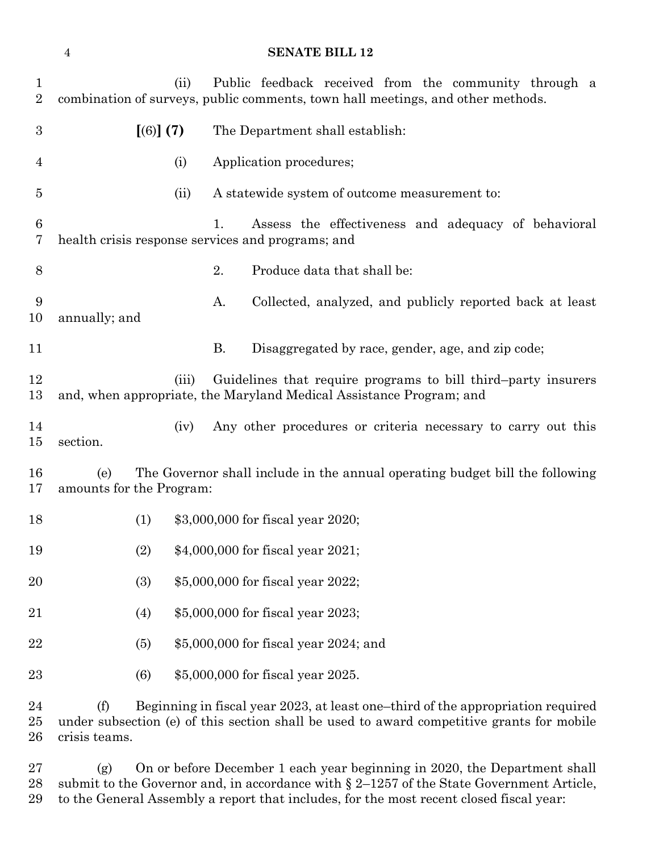| $\mathbf 1$<br>$\overline{2}$ | (ii)                            | Public feedback received from the community through a<br>combination of surveys, public comments, town hall meetings, and other methods.                                     |
|-------------------------------|---------------------------------|------------------------------------------------------------------------------------------------------------------------------------------------------------------------------|
| $\boldsymbol{3}$              | [(6)] (7)                       | The Department shall establish:                                                                                                                                              |
| 4                             | (i)                             | Application procedures;                                                                                                                                                      |
| $\overline{5}$                | (ii)                            | A statewide system of outcome measurement to:                                                                                                                                |
| 6<br>7                        |                                 | Assess the effectiveness and adequacy of behavioral<br>1.<br>health crisis response services and programs; and                                                               |
| 8                             |                                 | 2.<br>Produce data that shall be:                                                                                                                                            |
| 9<br>10                       | annually; and                   | Collected, analyzed, and publicly reported back at least<br>A.                                                                                                               |
| 11                            |                                 | <b>B.</b><br>Disaggregated by race, gender, age, and zip code;                                                                                                               |
| 12<br>13                      | (iii)                           | Guidelines that require programs to bill third-party insurers<br>and, when appropriate, the Maryland Medical Assistance Program; and                                         |
| 14<br>15                      | (iv)<br>section.                | Any other procedures or criteria necessary to carry out this                                                                                                                 |
| 16<br>17                      | (e)<br>amounts for the Program: | The Governor shall include in the annual operating budget bill the following                                                                                                 |
| 18                            | (1)                             | \$3,000,000 for fiscal year 2020;                                                                                                                                            |
| 19                            | (2)                             | \$4,000,000 for fiscal year 2021;                                                                                                                                            |
| 20                            | (3)                             | \$5,000,000 for fiscal year 2022;                                                                                                                                            |
| 21                            | (4)                             | \$5,000,000 for fiscal year 2023;                                                                                                                                            |
| 22                            | (5)                             | \$5,000,000 for fiscal year 2024; and                                                                                                                                        |
| 23                            | (6)                             | \$5,000,000 for fiscal year 2025.                                                                                                                                            |
| 24<br>25                      | (f)                             | Beginning in fiscal year 2023, at least one-third of the appropriation required<br>under subsection (e) of this section shall be used to award competitive grants for mobile |

crisis teams.

 (g) On or before December 1 each year beginning in 2020, the Department shall submit to the Governor and, in accordance with § 2–1257 of the State Government Article, to the General Assembly a report that includes, for the most recent closed fiscal year: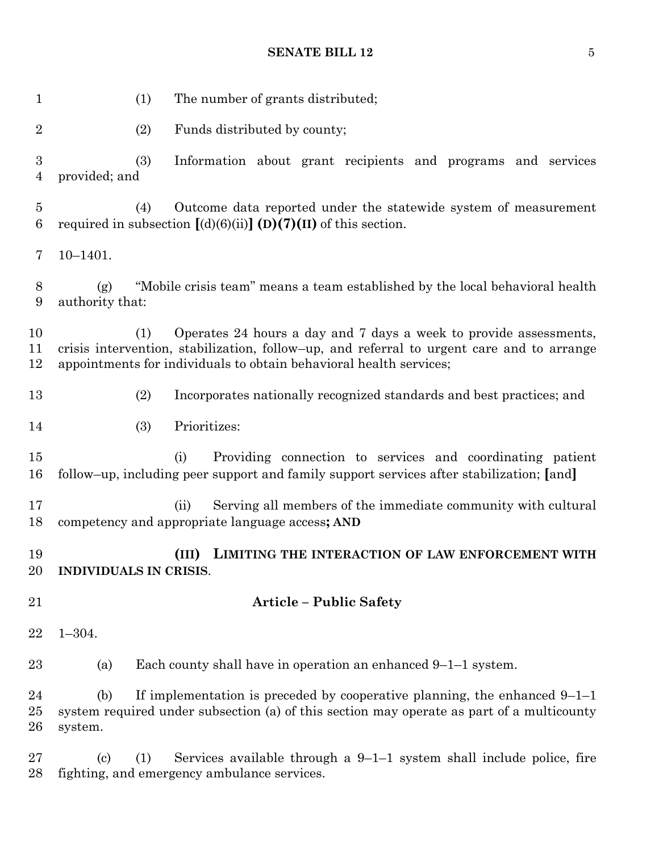**SENATE BILL 12** 5

| $\mathbf{1}$           | (1)<br>The number of grants distributed;                                                                                                                                                                                                    |
|------------------------|---------------------------------------------------------------------------------------------------------------------------------------------------------------------------------------------------------------------------------------------|
| $\sqrt{2}$             | (2)<br>Funds distributed by county;                                                                                                                                                                                                         |
| 3<br>$\overline{4}$    | (3)<br>Information about grant recipients and programs and services<br>provided; and                                                                                                                                                        |
| $\overline{5}$<br>6    | Outcome data reported under the statewide system of measurement<br>(4)<br>required in subsection $[(d)(6)(ii)]$ (D)(7)(II) of this section.                                                                                                 |
| 7                      | $10 - 1401.$                                                                                                                                                                                                                                |
| $8\,$<br>9             | "Mobile crisis team" means a team established by the local behavioral health<br>(g)<br>authority that:                                                                                                                                      |
| 10<br>11<br>12         | Operates 24 hours a day and 7 days a week to provide assessments,<br>(1)<br>crisis intervention, stabilization, follow-up, and referral to urgent care and to arrange<br>appointments for individuals to obtain behavioral health services; |
| 13                     | (2)<br>Incorporates nationally recognized standards and best practices; and                                                                                                                                                                 |
| 14                     | Prioritizes:<br>(3)                                                                                                                                                                                                                         |
| 15<br>16               | Providing connection to services and coordinating patient<br>(i)<br>follow–up, including peer support and family support services after stabilization; [and]                                                                                |
| 17<br>18               | Serving all members of the immediate community with cultural<br>(ii)<br>competency and appropriate language access; AND                                                                                                                     |
| 19<br>20               | LIMITING THE INTERACTION OF LAW ENFORCEMENT WITH<br>(III)<br>INDIVIDUALS IN CRISIS.                                                                                                                                                         |
| 21                     | <b>Article - Public Safety</b>                                                                                                                                                                                                              |
| 22                     | $1 - 304.$                                                                                                                                                                                                                                  |
| 23                     | Each county shall have in operation an enhanced $9-1-1$ system.<br>(a)                                                                                                                                                                      |
| 24<br>25<br>${\bf 26}$ | If implementation is preceded by cooperative planning, the enhanced $9-1-1$<br>(b)<br>system required under subsection (a) of this section may operate as part of a multicounty<br>system.                                                  |
| 27<br>28               | Services available through a $9-1-1$ system shall include police, fire<br>$\left( \text{c}\right)$<br>(1)<br>fighting, and emergency ambulance services.                                                                                    |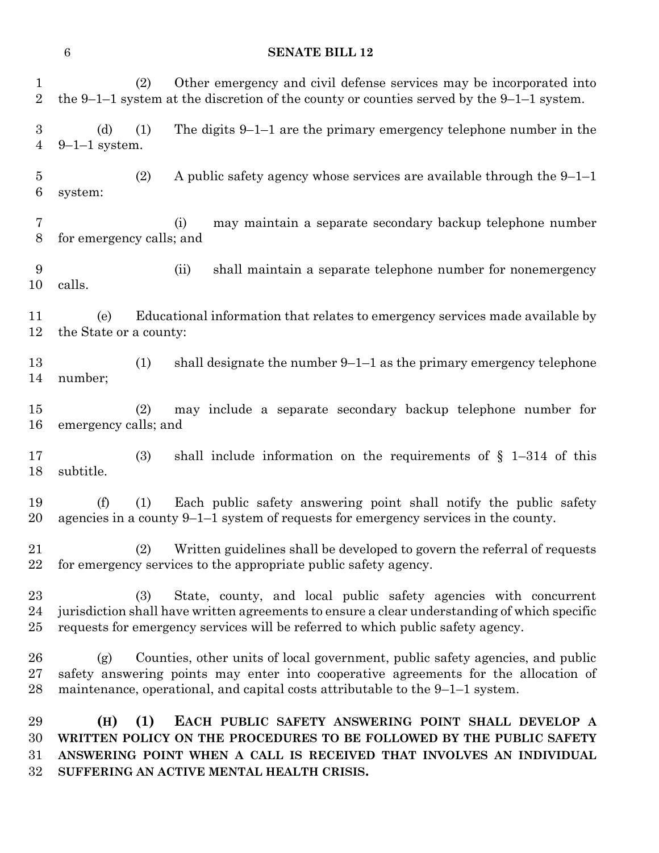| $\mathbf{1}$<br>$\sqrt{2}$         |                               | (2) | Other emergency and civil defense services may be incorporated into<br>the 9–1–1 system at the discretion of the county or counties served by the 9–1–1 system.                                                                                         |
|------------------------------------|-------------------------------|-----|---------------------------------------------------------------------------------------------------------------------------------------------------------------------------------------------------------------------------------------------------------|
| $\sqrt{3}$<br>$\overline{4}$       | (d)<br>$9-1-1$ system.        | (1) | The digits $9-1-1$ are the primary emergency telephone number in the                                                                                                                                                                                    |
| $\overline{5}$<br>$\boldsymbol{6}$ | system:                       | (2) | A public safety agency whose services are available through the $9-1-1$                                                                                                                                                                                 |
| 7<br>8                             | for emergency calls; and      |     | may maintain a separate secondary backup telephone number<br>(i)                                                                                                                                                                                        |
| 9<br>10                            | calls.                        |     | shall maintain a separate telephone number for nonemergency<br>(ii)                                                                                                                                                                                     |
| 11<br>12                           | (e)<br>the State or a county: |     | Educational information that relates to emergency services made available by                                                                                                                                                                            |
| 13<br>14                           | number;                       | (1) | shall designate the number $9-1-1$ as the primary emergency telephone                                                                                                                                                                                   |
| 15<br>16                           | emergency calls; and          | (2) | may include a separate secondary backup telephone number for                                                                                                                                                                                            |
| 17<br>18                           | subtitle.                     | (3) | shall include information on the requirements of $\S$ 1-314 of this                                                                                                                                                                                     |
| 19<br>20                           | (f)                           | (1) | Each public safety answering point shall notify the public safety<br>agencies in a county $9-1-1$ system of requests for emergency services in the county.                                                                                              |
| 21<br>22                           |                               |     | (2) Written guidelines shall be developed to govern the referral of requests<br>for emergency services to the appropriate public safety agency.                                                                                                         |
| 23<br>24<br>25                     |                               | (3) | State, county, and local public safety agencies with concurrent<br>jurisdiction shall have written agreements to ensure a clear understanding of which specific<br>requests for emergency services will be referred to which public safety agency.      |
| 26<br>27<br>28                     | (g)                           |     | Counties, other units of local government, public safety agencies, and public<br>safety answering points may enter into cooperative agreements for the allocation of<br>maintenance, operational, and capital costs attributable to the $9-1-1$ system. |
| 29<br>30<br>31<br>32               | (H)                           | (1) | EACH PUBLIC SAFETY ANSWERING POINT SHALL DEVELOP A<br>WRITTEN POLICY ON THE PROCEDURES TO BE FOLLOWED BY THE PUBLIC SAFETY<br>ANSWERING POINT WHEN A CALL IS RECEIVED THAT INVOLVES AN INDIVIDUAL<br>SUFFERING AN ACTIVE MENTAL HEALTH CRISIS.          |